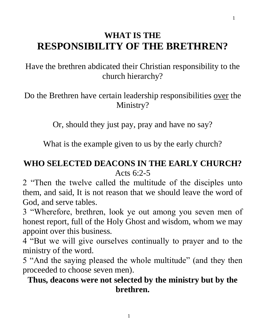# **WHAT IS THE RESPONSIBILITY OF THE BRETHREN?**

Have the brethren abdicated their Christian responsibility to the church hierarchy?

Do the Brethren have certain leadership responsibilities over the Ministry?

Or, should they just pay, pray and have no say?

What is the example given to us by the early church?

### **WHO SELECTED DEACONS IN THE EARLY CHURCH?** Acts 6:2-5

2 "Then the twelve called the multitude of the disciples unto them, and said, It is not reason that we should leave the word of God, and serve tables.

3 "Wherefore, brethren, look ye out among you seven men of honest report, full of the Holy Ghost and wisdom, whom we may appoint over this business.

4 "But we will give ourselves continually to prayer and to the ministry of the word.

5 "And the saying pleased the whole multitude" (and they then proceeded to choose seven men).

### **Thus, deacons were not selected by the ministry but by the brethren.**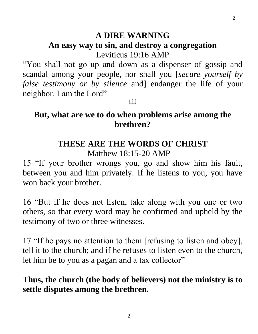#### **A DIRE WARNING**

# **An easy way to sin, and destroy a congregation**

Leviticus 19:16 AMP

"You shall not go up and down as a dispenser of gossip and scandal among your people, nor shall you [*secure yourself by false testimony or by silence* and] endanger the life of your neighbor. I am the Lord"

 $\Box$ 

### **But, what are we to do when problems arise among the brethren?**

#### **THESE ARE THE WORDS OF CHRIST**

Matthew 18:15-20 AMP

15 "If your brother wrongs you, go and show him his fault, between you and him privately. If he listens to you, you have won back your brother.

16 "But if he does not listen, take along with you one or two others, so that every word may be confirmed and upheld by the testimony of two or three witnesses.

17 "If he pays no attention to them [refusing to listen and obey], tell it to the church; and if he refuses to listen even to the church, let him be to you as a pagan and a tax collector"

### **Thus, the church (the body of believers) not the ministry is to settle disputes among the brethren.**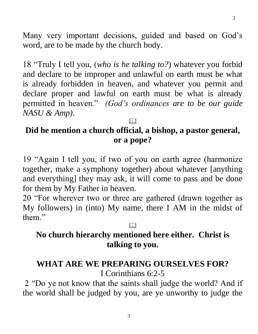Many very important decisions, guided and based on God's word, are to be made by the church body.

18 "Truly I tell you, (*who is he talking to?*) whatever you forbid and declare to be improper and unlawful on earth must be what is already forbidden in heaven, and whatever you permit and declare proper and lawful on earth must be what is already permitted in heaven." *(God's ordinances are to be our guide NASU & Amp).*

### **Did he mention a church official, a bishop, a pastor general, or a pope?**

 $\Box$ 

19 "Again I tell you, if two of you on earth agree (harmonize together, make a symphony together) about whatever [anything and everything] they may ask, it will come to pass and be done for them by My Father in heaven.

20 "For wherever two or three are gathered (drawn together as My followers) in (into) My name, there I AM in the midst of them."

# **No church hierarchy mentioned here either. Christ is talking to you.**

 $\Box$ 

#### **WHAT ARE WE PREPARING OURSELVES FOR?** I Corinthians 6:2-5

2 "Do ye not know that the saints shall judge the world? And if the world shall be judged by you, are ye unworthy to judge the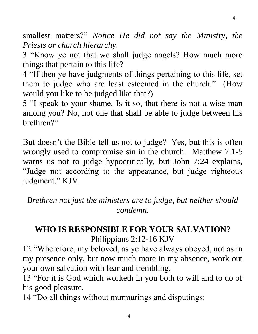smallest matters?" *Notice He did not say the Ministry, the Priests or church hierarchy.* 

4

3 "Know ye not that we shall judge angels? How much more things that pertain to this life?

4 "If then ye have judgments of things pertaining to this life, set them to judge who are least esteemed in the church." (How would you like to be judged like that?)

5 "I speak to your shame. Is it so, that there is not a wise man among you? No, not one that shall be able to judge between his brethren?"

But doesn't the Bible tell us not to judge? Yes, but this is often wrongly used to compromise sin in the church. Matthew 7:1-5 warns us not to judge hypocritically, but John 7:24 explains, "Judge not according to the appearance, but judge righteous judgment." KJV.

*Brethren not just the ministers are to judge, but neither should condemn.*

### **WHO IS RESPONSIBLE FOR YOUR SALVATION?** Philippians 2:12-16 KJV

12 "Wherefore, my beloved, as ye have always obeyed, not as in my presence only, but now much more in my absence, work out your own salvation with fear and trembling.

13 "For it is God which worketh in you both to will and to do of his good pleasure.

4

14 "Do all things without murmurings and disputings: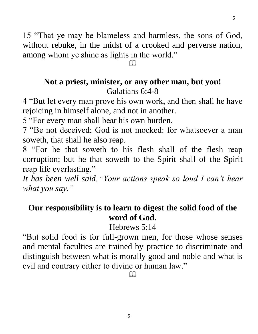15 "That ye may be blameless and harmless, the sons of God, without rebuke, in the midst of a crooked and perverse nation, among whom ye shine as lights in the world."

5

 $\Box$ 

### **Not a priest, minister, or any other man, but you!** Galatians 6:4-8

4 "But let every man prove his own work, and then shall he have rejoicing in himself alone, and not in another.

5 "For every man shall bear his own burden.

7 "Be not deceived; God is not mocked: for whatsoever a man soweth, that shall he also reap.

8 "For he that soweth to his flesh shall of the flesh reap corruption; but he that soweth to the Spirit shall of the Spirit reap life everlasting."

*It has been well said,* "*Your actions speak so loud I can't hear what you say."*

### **Our responsibility is to learn to digest the solid food of the word of God.**

Hebrews 5:14

"But solid food is for full-grown men, for those whose senses and mental faculties are trained by practice to discriminate and distinguish between what is morally good and noble and what is evil and contrary either to divine or human law."

 $\Box$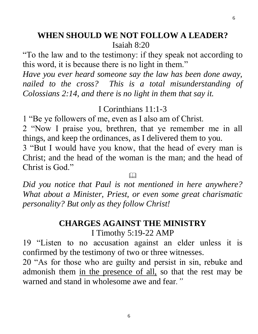#### **WHEN SHOULD WE NOT FOLLOW A LEADER?** Isaiah 8:20

"To the law and to the testimony: if they speak not according to this word, it is because there is no light in them."

*Have you ever heard someone say the law has been done away, nailed to the cross? This is a total misunderstanding of Colossians 2:14*, *and there is no light in them that say it.*

### I Corinthians 11:1-3

1 "Be ye followers of me, even as I also am of Christ.

2 "Now I praise you, brethren, that ye remember me in all things, and keep the ordinances, as I delivered them to you.

3 "But I would have you know, that the head of every man is Christ; and the head of the woman is the man; and the head of Christ is God."

M

*Did you notice that Paul is not mentioned in here anywhere? What about a Minister, Priest, or even some great charismatic personality? But only as they follow Christ!* 

### **CHARGES AGAINST THE MINISTRY**

I Timothy 5:19-22 AMP

19 "Listen to no accusation against an elder unless it is confirmed by the testimony of two or three witnesses.

20 "As for those who are guilty and persist in sin, rebuke and admonish them in the presence of all, so that the rest may be warned and stand in wholesome awe and fear*."*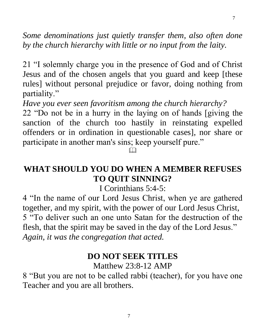*Some denominations just quietly transfer them, also often done by the church hierarchy with little or no input from the laity.*

21 "I solemnly charge you in the presence of God and of Christ Jesus and of the chosen angels that you guard and keep [these rules] without personal prejudice or favor, doing nothing from partiality."

*Have you ever seen favoritism among the church hierarchy?* 

22 "Do not be in a hurry in the laying on of hands [giving the sanction of the church too hastily in reinstating expelled offenders or in ordination in questionable cases], nor share or participate in another man's sins; keep yourself pure."

#### $\Box$

### **WHAT SHOULD YOU DO WHEN A MEMBER REFUSES TO QUIT SINNING?**

I Corinthians 5:4-5:

4 "In the name of our Lord Jesus Christ, when ye are gathered together, and my spirit, with the power of our Lord Jesus Christ, 5 "To deliver such an one unto Satan for the destruction of the flesh, that the spirit may be saved in the day of the Lord Jesus." *Again, it was the congregation that acted.*

#### **DO NOT SEEK TITLES**

Matthew 23:8-12 AMP

8 "But you are not to be called rabbi (teacher), for you have one Teacher and you are all brothers.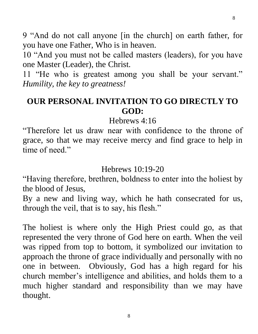9 "And do not call anyone [in the church] on earth father, for you have one Father, Who is in heaven.

10 "And you must not be called masters (leaders), for you have one Master (Leader), the Christ.

11 "He who is greatest among you shall be your servant." *Humility, the key to greatness!*

### **OUR PERSONAL INVITATION TO GO DIRECTLY TO GOD:**

Hebrews 4:16

"Therefore let us draw near with confidence to the throne of grace, so that we may receive mercy and find grace to help in time of need."

Hebrews 10:19-20

"Having therefore, brethren, boldness to enter into the holiest by the blood of Jesus,

By a new and living way, which he hath consecrated for us, through the veil, that is to say, his flesh."

The holiest is where only the High Priest could go, as that represented the very throne of God here on earth. When the veil was ripped from top to bottom, it symbolized our invitation to approach the throne of grace individually and personally with no one in between. Obviously, God has a high regard for his church member's intelligence and abilities, and holds them to a much higher standard and responsibility than we may have thought.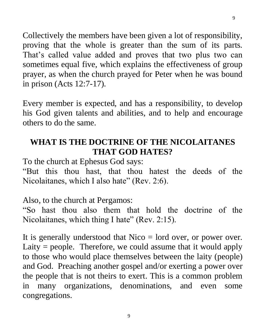Collectively the members have been given a lot of responsibility, proving that the whole is greater than the sum of its parts. That's called value added and proves that two plus two can sometimes equal five, which explains the effectiveness of group prayer, as when the church prayed for Peter when he was bound in prison (Acts 12:7-17).

Every member is expected, and has a responsibility, to develop his God given talents and abilities, and to help and encourage others to do the same.

### **WHAT IS THE DOCTRINE OF THE NICOLAITANES THAT GOD HATES?**

To the church at Ephesus God says:

"But this thou hast, that thou hatest the deeds of the Nicolaitanes, which I also hate" (Rev. 2:6).

Also, to the church at Pergamos:

"So hast thou also them that hold the doctrine of the Nicolaitanes, which thing I hate" (Rev. 2:15).

It is generally understood that Nico = lord over, or power over. Laity  $=$  people. Therefore, we could assume that it would apply to those who would place themselves between the laity (people) and God. Preaching another gospel and/or exerting a power over the people that is not theirs to exert. This is a common problem in many organizations, denominations, and even some congregations.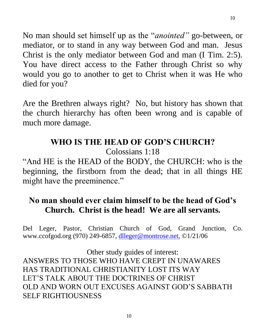No man should set himself up as the "*anointed"* go-between, or mediator, or to stand in any way between God and man. Jesus Christ is the only mediator between God and man (I Tim. 2:5). You have direct access to the Father through Christ so why would you go to another to get to Christ when it was He who died for you?

10

Are the Brethren always right? No, but history has shown that the church hierarchy has often been wrong and is capable of much more damage.

## **WHO IS THE HEAD OF GOD'S CHURCH?**

Colossians 1:18

"And HE is the HEAD of the BODY, the CHURCH: who is the beginning, the firstborn from the dead; that in all things HE might have the preeminence."

### **No man should ever claim himself to be the head of God's Church. Christ is the head! We are all servants.**

Del Leger, Pastor, Christian Church of God, Grand Junction, Co. www.ccofgod.org (970) 249-6857, [dlleger@montrose.net,](mailto:dlleger@montrose.net) ©1/21/06

Other study guides of interest: ANSWERS TO THOSE WHO HAVE CREPT IN UNAWARES HAS TRADITIONAL CHRISTIANITY LOST ITS WAY LET'S TALK ABOUT THE DOCTRINES OF CHRIST OLD AND WORN OUT EXCUSES AGAINST GOD'S SABBATH SELF RIGHTIOUSNESS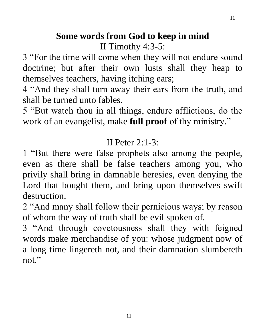# **Some words from God to keep in mind** II Timothy 4:3-5:

3 "For the time will come when they will not endure sound doctrine; but after their own lusts shall they heap to themselves teachers, having itching ears;

4 "And they shall turn away their ears from the truth, and shall be turned unto fables.

5 "But watch thou in all things, endure afflictions, do the work of an evangelist, make **full proof** of thy ministry."

## II Peter  $2:1-3:$

1 "But there were false prophets also among the people, even as there shall be false teachers among you, who privily shall bring in damnable heresies, even denying the Lord that bought them, and bring upon themselves swift destruction.

2 "And many shall follow their pernicious ways; by reason of whom the way of truth shall be evil spoken of.

3 "And through covetousness shall they with feigned words make merchandise of you: whose judgment now of a long time lingereth not, and their damnation slumbereth not."